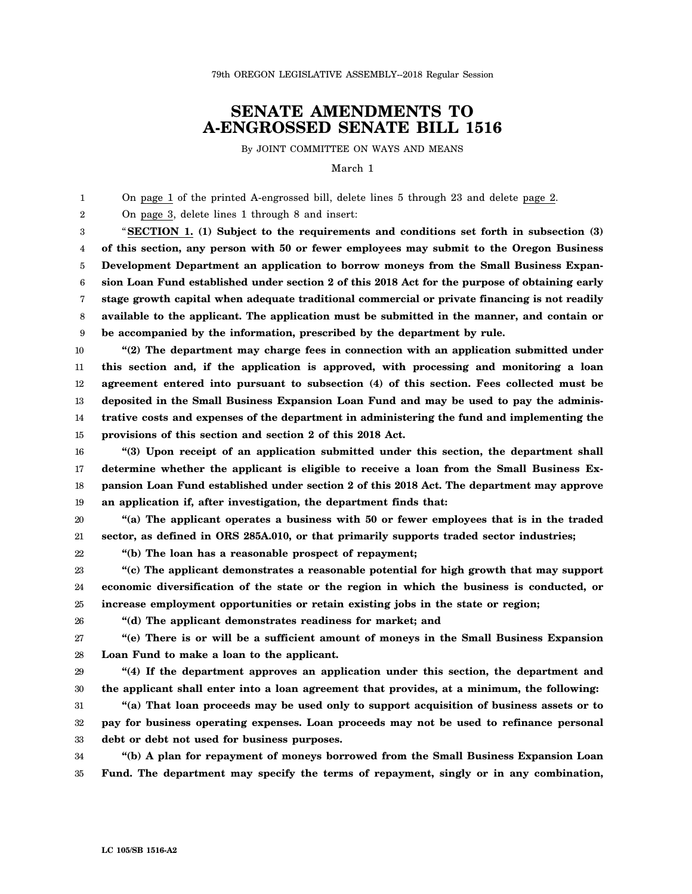79th OREGON LEGISLATIVE ASSEMBLY--2018 Regular Session

## **SENATE AMENDMENTS TO A-ENGROSSED SENATE BILL 1516**

By JOINT COMMITTEE ON WAYS AND MEANS

March 1

1 2 3 4 5 6 7 8 9 10 11 12 13 14 15 16 17 18 19 On page 1 of the printed A-engrossed bill, delete lines 5 through 23 and delete page 2. On page 3, delete lines 1 through 8 and insert: "**SECTION 1. (1) Subject to the requirements and conditions set forth in subsection (3) of this section, any person with 50 or fewer employees may submit to the Oregon Business Development Department an application to borrow moneys from the Small Business Expansion Loan Fund established under section 2 of this 2018 Act for the purpose of obtaining early stage growth capital when adequate traditional commercial or private financing is not readily available to the applicant. The application must be submitted in the manner, and contain or be accompanied by the information, prescribed by the department by rule. "(2) The department may charge fees in connection with an application submitted under this section and, if the application is approved, with processing and monitoring a loan agreement entered into pursuant to subsection (4) of this section. Fees collected must be deposited in the Small Business Expansion Loan Fund and may be used to pay the administrative costs and expenses of the department in administering the fund and implementing the provisions of this section and section 2 of this 2018 Act. "(3) Upon receipt of an application submitted under this section, the department shall determine whether the applicant is eligible to receive a loan from the Small Business Expansion Loan Fund established under section 2 of this 2018 Act. The department may approve an application if, after investigation, the department finds that:**

20 21 **"(a) The applicant operates a business with 50 or fewer employees that is in the traded sector, as defined in ORS 285A.010, or that primarily supports traded sector industries;**

**"(b) The loan has a reasonable prospect of repayment;**

23 24 25 **"(c) The applicant demonstrates a reasonable potential for high growth that may support economic diversification of the state or the region in which the business is conducted, or increase employment opportunities or retain existing jobs in the state or region;**

**"(d) The applicant demonstrates readiness for market; and**

27 28 **"(e) There is or will be a sufficient amount of moneys in the Small Business Expansion Loan Fund to make a loan to the applicant.**

29 30 **"(4) If the department approves an application under this section, the department and the applicant shall enter into a loan agreement that provides, at a minimum, the following:**

31 32 33 **"(a) That loan proceeds may be used only to support acquisition of business assets or to pay for business operating expenses. Loan proceeds may not be used to refinance personal debt or debt not used for business purposes.**

34 35 **"(b) A plan for repayment of moneys borrowed from the Small Business Expansion Loan Fund. The department may specify the terms of repayment, singly or in any combination,**

22

26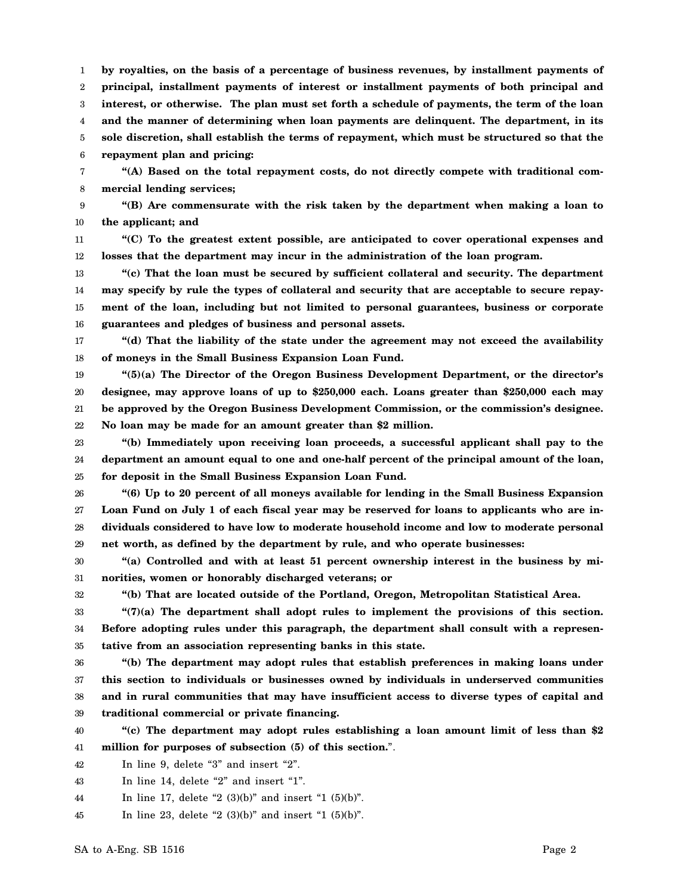1 2 3 4 5 6 **by royalties, on the basis of a percentage of business revenues, by installment payments of principal, installment payments of interest or installment payments of both principal and interest, or otherwise. The plan must set forth a schedule of payments, the term of the loan and the manner of determining when loan payments are delinquent. The department, in its sole discretion, shall establish the terms of repayment, which must be structured so that the repayment plan and pricing:**

7 8 **"(A) Based on the total repayment costs, do not directly compete with traditional commercial lending services;**

9 10 **"(B) Are commensurate with the risk taken by the department when making a loan to the applicant; and**

11 12 **"(C) To the greatest extent possible, are anticipated to cover operational expenses and losses that the department may incur in the administration of the loan program.**

13 14 15 16 **"(c) That the loan must be secured by sufficient collateral and security. The department may specify by rule the types of collateral and security that are acceptable to secure repayment of the loan, including but not limited to personal guarantees, business or corporate guarantees and pledges of business and personal assets.**

17 18 **"(d) That the liability of the state under the agreement may not exceed the availability of moneys in the Small Business Expansion Loan Fund.**

19 20 21 **"(5)(a) The Director of the Oregon Business Development Department, or the director's designee, may approve loans of up to \$250,000 each. Loans greater than \$250,000 each may be approved by the Oregon Business Development Commission, or the commission's designee.**

22 **No loan may be made for an amount greater than \$2 million.**

23 24 25 **"(b) Immediately upon receiving loan proceeds, a successful applicant shall pay to the department an amount equal to one and one-half percent of the principal amount of the loan, for deposit in the Small Business Expansion Loan Fund.**

26 27 28 29 **"(6) Up to 20 percent of all moneys available for lending in the Small Business Expansion Loan Fund on July 1 of each fiscal year may be reserved for loans to applicants who are individuals considered to have low to moderate household income and low to moderate personal net worth, as defined by the department by rule, and who operate businesses:**

30 31 **"(a) Controlled and with at least 51 percent ownership interest in the business by minorities, women or honorably discharged veterans; or**

**"(b) That are located outside of the Portland, Oregon, Metropolitan Statistical Area.**

33 34 35 **"(7)(a) The department shall adopt rules to implement the provisions of this section. Before adopting rules under this paragraph, the department shall consult with a representative from an association representing banks in this state.**

36 37 38 39 **"(b) The department may adopt rules that establish preferences in making loans under this section to individuals or businesses owned by individuals in underserved communities and in rural communities that may have insufficient access to diverse types of capital and traditional commercial or private financing.**

40 41 **"(c) The department may adopt rules establishing a loan amount limit of less than \$2 million for purposes of subsection (5) of this section.**".

42 In line 9, delete "3" and insert "2".

43 In line 14, delete "2" and insert "1".

44 In line 17, delete "2  $(3)(b)$ " and insert "1  $(5)(b)$ ".

45 In line 23, delete "2  $(3)(b)$ " and insert "1  $(5)(b)$ ".

32